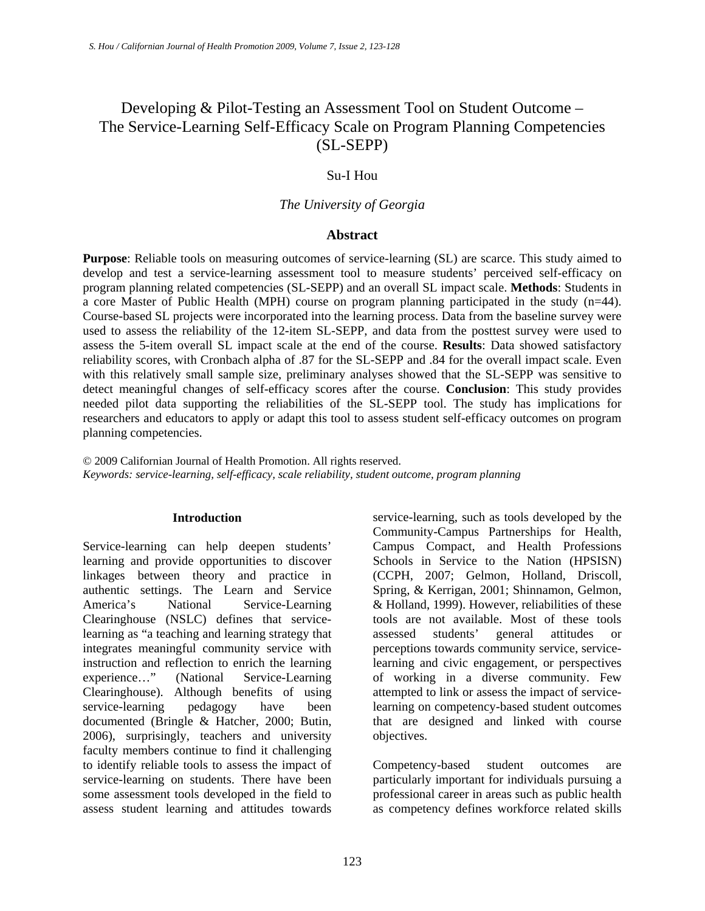# Developing & Pilot-Testing an Assessment Tool on Student Outcome – The Service-Learning Self-Efficacy Scale on Program Planning Competencies (SL-SEPP)

#### Su-I Hou

#### *The University of Georgia*

#### **Abstract**

**Purpose**: Reliable tools on measuring outcomes of service-learning (SL) are scarce. This study aimed to develop and test a service-learning assessment tool to measure students' perceived self-efficacy on program planning related competencies (SL-SEPP) and an overall SL impact scale. **Methods**: Students in a core Master of Public Health (MPH) course on program planning participated in the study (n=44). Course-based SL projects were incorporated into the learning process. Data from the baseline survey were used to assess the reliability of the 12-item SL-SEPP, and data from the posttest survey were used to assess the 5-item overall SL impact scale at the end of the course. **Results**: Data showed satisfactory reliability scores, with Cronbach alpha of .87 for the SL-SEPP and .84 for the overall impact scale. Even with this relatively small sample size, preliminary analyses showed that the SL-SEPP was sensitive to detect meaningful changes of self-efficacy scores after the course. **Conclusion**: This study provides needed pilot data supporting the reliabilities of the SL-SEPP tool. The study has implications for researchers and educators to apply or adapt this tool to assess student self-efficacy outcomes on program planning competencies.

© 2009 Californian Journal of Health Promotion. All rights reserved. *Keywords: service-learning, self-efficacy, scale reliability, student outcome, program planning* 

#### **Introduction**

Service-learning can help deepen students' learning and provide opportunities to discover linkages between theory and practice in authentic settings. The Learn and Service America's National Service-Learning Clearinghouse (NSLC) defines that servicelearning as "a teaching and learning strategy that integrates meaningful community service with instruction and reflection to enrich the learning experience…" (National Service-Learning Clearinghouse). Although benefits of using service-learning pedagogy have been documented (Bringle & Hatcher, 2000; Butin, 2006), surprisingly, teachers and university faculty members continue to find it challenging to identify reliable tools to assess the impact of service-learning on students. There have been some assessment tools developed in the field to assess student learning and attitudes towards

service-learning, such as tools developed by the Community-Campus Partnerships for Health, Campus Compact, and Health Professions Schools in Service to the Nation (HPSISN) (CCPH, 2007; Gelmon, Holland, Driscoll, Spring, & Kerrigan, 2001; Shinnamon, Gelmon, & Holland, 1999). However, reliabilities of these tools are not available. Most of these tools assessed students' general attitudes or perceptions towards community service, servicelearning and civic engagement, or perspectives of working in a diverse community. Few attempted to link or assess the impact of servicelearning on competency-based student outcomes that are designed and linked with course objectives.

Competency-based student outcomes are particularly important for individuals pursuing a professional career in areas such as public health as competency defines workforce related skills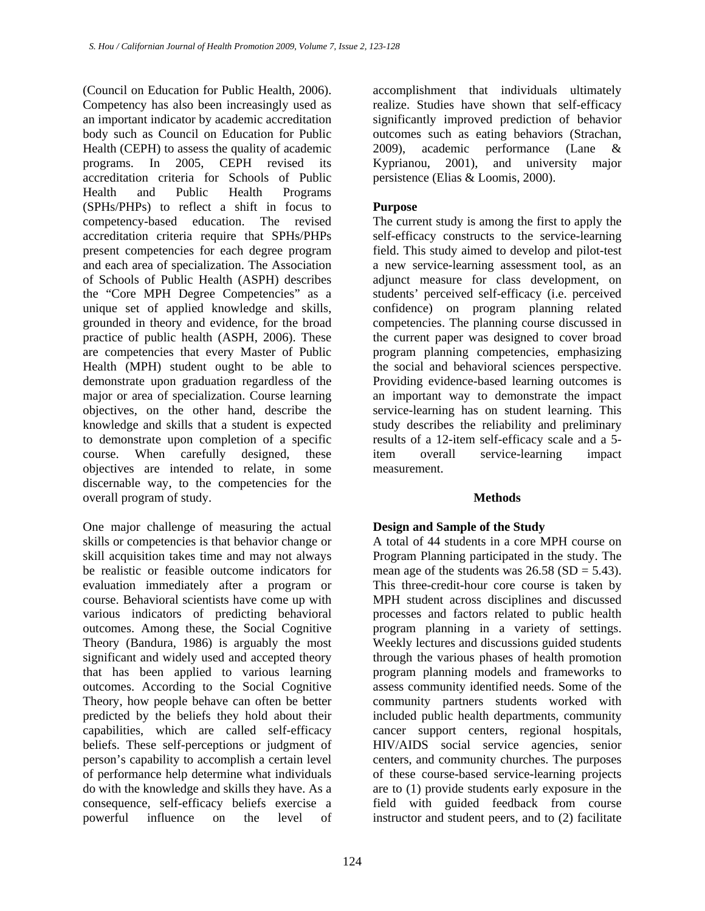(Council on Education for Public Health, 2006). Competency has also been increasingly used as an important indicator by academic accreditation body such as Council on Education for Public Health (CEPH) to assess the quality of academic programs. In 2005, CEPH revised its accreditation criteria for Schools of Public Health and Public Health Programs (SPHs/PHPs) to reflect a shift in focus to competency-based education. The revised accreditation criteria require that SPHs/PHPs present competencies for each degree program and each area of specialization. The Association of Schools of Public Health (ASPH) describes the "Core MPH Degree Competencies" as a unique set of applied knowledge and skills, grounded in theory and evidence, for the broad practice of public health (ASPH, 2006). These are competencies that every Master of Public Health (MPH) student ought to be able to demonstrate upon graduation regardless of the major or area of specialization. Course learning objectives, on the other hand, describe the knowledge and skills that a student is expected to demonstrate upon completion of a specific course. When carefully designed, these objectives are intended to relate, in some discernable way, to the competencies for the overall program of study.

One major challenge of measuring the actual skills or competencies is that behavior change or skill acquisition takes time and may not always be realistic or feasible outcome indicators for evaluation immediately after a program or course. Behavioral scientists have come up with various indicators of predicting behavioral outcomes. Among these, the Social Cognitive Theory (Bandura, 1986) is arguably the most significant and widely used and accepted theory that has been applied to various learning outcomes. According to the Social Cognitive Theory, how people behave can often be better predicted by the beliefs they hold about their capabilities, which are called self-efficacy beliefs. These self-perceptions or judgment of person's capability to accomplish a certain level of performance help determine what individuals do with the knowledge and skills they have. As a consequence, self-efficacy beliefs exercise a powerful influence on the level of

accomplishment that individuals ultimately realize. Studies have shown that self-efficacy significantly improved prediction of behavior outcomes such as eating behaviors (Strachan, 2009), academic performance (Lane & Kyprianou, 2001), and university major persistence (Elias & Loomis, 2000).

## **Purpose**

The current study is among the first to apply the self-efficacy constructs to the service-learning field. This study aimed to develop and pilot-test a new service-learning assessment tool, as an adjunct measure for class development, on students' perceived self-efficacy (i.e. perceived confidence) on program planning related competencies. The planning course discussed in the current paper was designed to cover broad program planning competencies, emphasizing the social and behavioral sciences perspective. Providing evidence-based learning outcomes is an important way to demonstrate the impact service-learning has on student learning. This study describes the reliability and preliminary results of a 12-item self-efficacy scale and a 5 item overall service-learning impact measurement.

### **Methods**

### **Design and Sample of the Study**

A total of 44 students in a core MPH course on Program Planning participated in the study. The mean age of the students was  $26.58$  (SD = 5.43). This three-credit-hour core course is taken by MPH student across disciplines and discussed processes and factors related to public health program planning in a variety of settings. Weekly lectures and discussions guided students through the various phases of health promotion program planning models and frameworks to assess community identified needs. Some of the community partners students worked with included public health departments, community cancer support centers, regional hospitals, HIV/AIDS social service agencies, senior centers, and community churches. The purposes of these course-based service-learning projects are to (1) provide students early exposure in the field with guided feedback from course instructor and student peers, and to (2) facilitate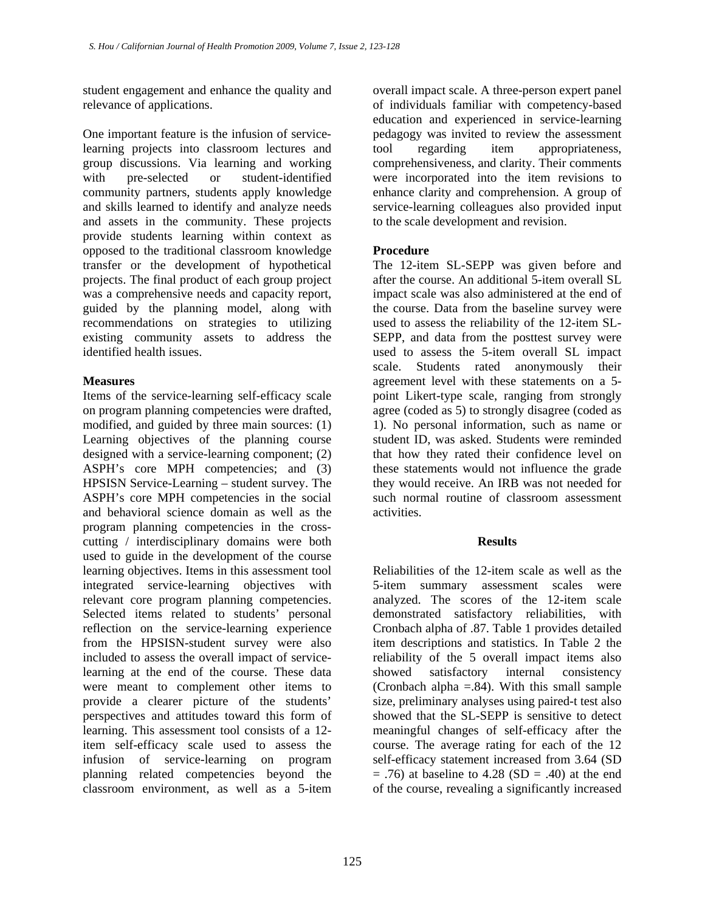student engagement and enhance the quality and relevance of applications.

One important feature is the infusion of servicelearning projects into classroom lectures and group discussions. Via learning and working with pre-selected or student-identified community partners, students apply knowledge and skills learned to identify and analyze needs and assets in the community. These projects provide students learning within context as opposed to the traditional classroom knowledge transfer or the development of hypothetical projects. The final product of each group project was a comprehensive needs and capacity report, guided by the planning model, along with recommendations on strategies to utilizing existing community assets to address the identified health issues.

### **Measures**

Items of the service-learning self-efficacy scale on program planning competencies were drafted, modified, and guided by three main sources: (1) Learning objectives of the planning course designed with a service-learning component; (2) ASPH's core MPH competencies; and (3) HPSISN Service-Learning – student survey. The ASPH's core MPH competencies in the social and behavioral science domain as well as the program planning competencies in the crosscutting / interdisciplinary domains were both used to guide in the development of the course learning objectives. Items in this assessment tool integrated service-learning objectives with relevant core program planning competencies. Selected items related to students' personal reflection on the service-learning experience from the HPSISN-student survey were also included to assess the overall impact of servicelearning at the end of the course. These data were meant to complement other items to provide a clearer picture of the students' perspectives and attitudes toward this form of learning. This assessment tool consists of a 12 item self-efficacy scale used to assess the infusion of service-learning on program planning related competencies beyond the classroom environment, as well as a 5-item

overall impact scale. A three-person expert panel of individuals familiar with competency-based education and experienced in service-learning pedagogy was invited to review the assessment tool regarding item appropriateness, comprehensiveness, and clarity. Their comments were incorporated into the item revisions to enhance clarity and comprehension. A group of service-learning colleagues also provided input to the scale development and revision.

### **Procedure**

The 12-item SL-SEPP was given before and after the course. An additional 5-item overall SL impact scale was also administered at the end of the course. Data from the baseline survey were used to assess the reliability of the 12-item SL-SEPP, and data from the posttest survey were used to assess the 5-item overall SL impact scale. Students rated anonymously their agreement level with these statements on a 5 point Likert-type scale, ranging from strongly agree (coded as 5) to strongly disagree (coded as 1). No personal information, such as name or student ID, was asked. Students were reminded that how they rated their confidence level on these statements would not influence the grade they would receive. An IRB was not needed for such normal routine of classroom assessment activities.

### **Results**

Reliabilities of the 12-item scale as well as the 5-item summary assessment scales were analyzed. The scores of the 12-item scale demonstrated satisfactory reliabilities, with Cronbach alpha of .87. Table 1 provides detailed item descriptions and statistics. In Table 2 the reliability of the 5 overall impact items also showed satisfactory internal consistency (Cronbach alpha  $= 0.84$ ). With this small sample size, preliminary analyses using paired-t test also showed that the SL-SEPP is sensitive to detect meaningful changes of self-efficacy after the course. The average rating for each of the 12 self-efficacy statement increased from 3.64 (SD  $= .76$ ) at baseline to 4.28 (SD  $= .40$ ) at the end of the course, revealing a significantly increased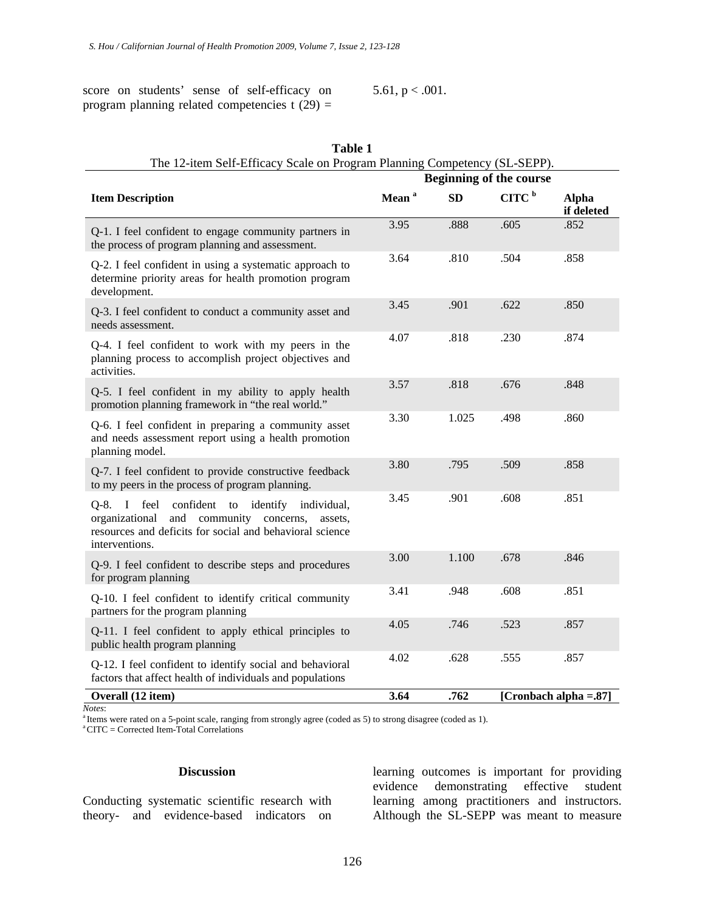score on students' sense of self-efficacy on program planning related competencies t  $(29)$  = 5.61,  $p < .001$ .

| Table 1<br>The 12-item Self-Efficacy Scale on Program Planning Competency (SL-SEPP).                                                                                                               |                                |           |                   |                            |  |  |
|----------------------------------------------------------------------------------------------------------------------------------------------------------------------------------------------------|--------------------------------|-----------|-------------------|----------------------------|--|--|
|                                                                                                                                                                                                    | <b>Beginning of the course</b> |           |                   |                            |  |  |
| <b>Item Description</b>                                                                                                                                                                            | Mean <sup>a</sup>              | <b>SD</b> | CITC <sup>b</sup> | <b>Alpha</b><br>if deleted |  |  |
| Q-1. I feel confident to engage community partners in<br>the process of program planning and assessment.                                                                                           | 3.95                           | .888      | .605              | .852                       |  |  |
| Q-2. I feel confident in using a systematic approach to<br>determine priority areas for health promotion program<br>development.                                                                   | 3.64                           | .810      | .504              | .858                       |  |  |
| Q-3. I feel confident to conduct a community asset and<br>needs assessment.                                                                                                                        | 3.45                           | .901      | .622              | .850                       |  |  |
| Q-4. I feel confident to work with my peers in the<br>planning process to accomplish project objectives and<br>activities.                                                                         | 4.07                           | .818      | .230              | .874                       |  |  |
| Q-5. I feel confident in my ability to apply health<br>promotion planning framework in "the real world."                                                                                           | 3.57                           | .818      | .676              | .848                       |  |  |
| Q-6. I feel confident in preparing a community asset<br>and needs assessment report using a health promotion<br>planning model.                                                                    | 3.30                           | 1.025     | .498              | .860                       |  |  |
| Q-7. I feel confident to provide constructive feedback<br>to my peers in the process of program planning.                                                                                          | 3.80                           | .795      | .509              | .858                       |  |  |
| confident to<br>Q-8. I feel<br>identify<br>individual,<br>organizational<br>and<br>community<br>concerns,<br>assets.<br>resources and deficits for social and behavioral science<br>interventions. | 3.45                           | .901      | .608              | .851                       |  |  |
| Q-9. I feel confident to describe steps and procedures<br>for program planning                                                                                                                     | 3.00                           | 1.100     | .678              | .846                       |  |  |
| Q-10. I feel confident to identify critical community<br>partners for the program planning                                                                                                         | 3.41                           | .948      | .608              | .851                       |  |  |
| Q-11. I feel confident to apply ethical principles to<br>public health program planning                                                                                                            | 4.05                           | .746      | .523              | .857                       |  |  |
| Q-12. I feel confident to identify social and behavioral<br>factors that affect health of individuals and populations                                                                              | 4.02                           | .628      | .555              | .857                       |  |  |
| Overall (12 item)                                                                                                                                                                                  | 3.64                           | .762      |                   | [Cronbach alpha = $.87$ ]  |  |  |

*Notes*: <br><sup>a</sup> Items were rated on a 5-point scale, ranging from strongly agree (coded as 5) to strong disagree (coded as 1). <br><sup>a</sup> CITC = Corrected Item-Total Correlations

#### **Discussion**

Conducting systematic scientific research with theory- and evidence-based indicators on

learning outcomes is important for providing evidence demonstrating effective student learning among practitioners and instructors. Although the SL-SEPP was meant to measure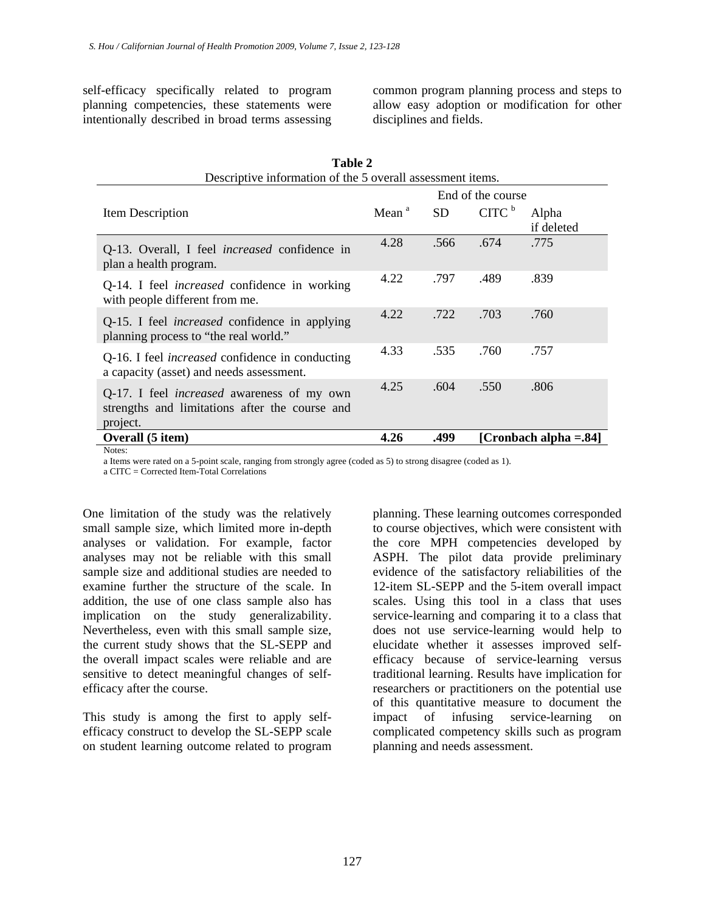self-efficacy specifically related to program planning competencies, these statements were intentionally described in broad terms assessing common program planning process and steps to allow easy adoption or modification for other disciplines and fields.

| Table 2<br>Descriptive information of the 5 overall assessment items.                                           |                   |           |                   |                        |  |  |
|-----------------------------------------------------------------------------------------------------------------|-------------------|-----------|-------------------|------------------------|--|--|
|                                                                                                                 |                   |           | End of the course |                        |  |  |
| Item Description                                                                                                | Mean <sup>a</sup> | <b>SD</b> | CITC <sup>b</sup> | Alpha<br>if deleted    |  |  |
| Q-13. Overall, I feel <i>increased</i> confidence in<br>plan a health program.                                  | 4.28              | .566      | .674              | .775                   |  |  |
| Q-14. I feel <i>increased</i> confidence in working<br>with people different from me.                           | 4.22              | .797      | .489              | .839                   |  |  |
| Q-15. I feel <i>increased</i> confidence in applying<br>planning process to "the real world."                   | 4.22              | .722      | .703              | .760                   |  |  |
| Q-16. I feel <i>increased</i> confidence in conducting<br>a capacity (asset) and needs assessment.              | 4.33              | .535      | .760              | .757                   |  |  |
| Q-17. I feel <i>increased</i> awareness of my own<br>strengths and limitations after the course and<br>project. | 4.25              | .604      | .550              | .806                   |  |  |
| Overall (5 item)                                                                                                | 4.26              | .499      |                   | [Cronbach alpha = .84] |  |  |
| Notes:                                                                                                          |                   |           |                   |                        |  |  |

a Items were rated on a 5-point scale, ranging from strongly agree (coded as 5) to strong disagree (coded as 1).

a CITC = Corrected Item-Total Correlations

One limitation of the study was the relatively small sample size, which limited more in-depth analyses or validation. For example, factor analyses may not be reliable with this small sample size and additional studies are needed to examine further the structure of the scale. In addition, the use of one class sample also has implication on the study generalizability. Nevertheless, even with this small sample size, the current study shows that the SL-SEPP and the overall impact scales were reliable and are sensitive to detect meaningful changes of selfefficacy after the course.

This study is among the first to apply selfefficacy construct to develop the SL-SEPP scale on student learning outcome related to program

planning. These learning outcomes corresponded to course objectives, which were consistent with the core MPH competencies developed by ASPH. The pilot data provide preliminary evidence of the satisfactory reliabilities of the 12-item SL-SEPP and the 5-item overall impact scales. Using this tool in a class that uses service-learning and comparing it to a class that does not use service-learning would help to elucidate whether it assesses improved selfefficacy because of service-learning versus traditional learning. Results have implication for researchers or practitioners on the potential use of this quantitative measure to document the impact of infusing service-learning on complicated competency skills such as program planning and needs assessment.